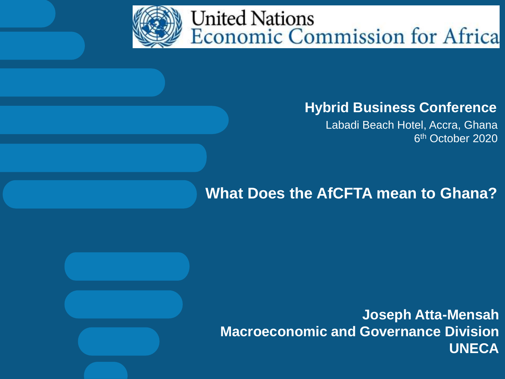

## **Hybrid Business Conference**

Labadi Beach Hotel, Accra, Ghana 6<sup>th</sup> October 2020

## **What Does the AfCFTA mean to Ghana?**

**Joseph Atta-Mensah Macroeconomic and Governance Division UNECA**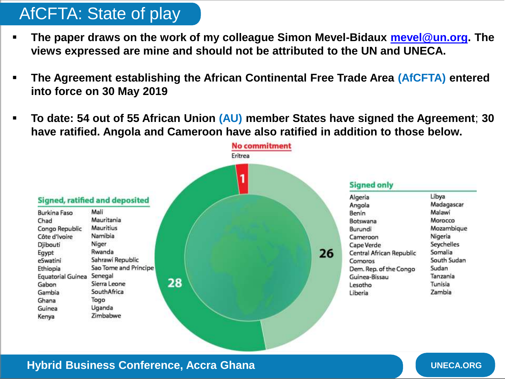# AfCFTA: State of play

- **The paper draws on the work of my colleague Simon Mevel-Bidaux [mevel@un.org](mailto:mevel@un.org). The views expressed are mine and should not be attributed to the UN and UNECA.**
- **The Agreement establishing the African Continental Free Trade Area (AfCFTA) entered into force on 30 May 2019**
- **To date: 54 out of 55 African Union (AU) member States have signed the Agreement**; **30 have ratified. Angola and Cameroon have also ratified in addition to those below.**



#### **Hybrid Business Conference, Accra Ghana Business Conference, Accra Ghana Business Conference Accra Ghana Business Conference**, Accra Ghana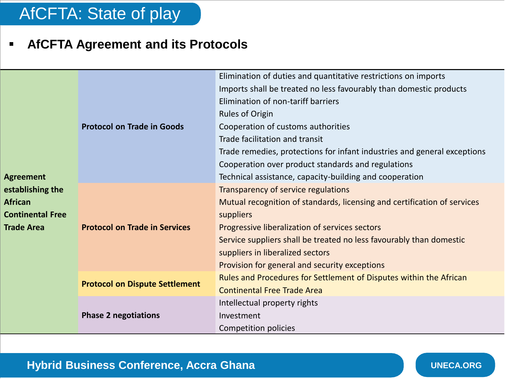## AfCFTA: State of play

### **AfCFTA Agreement and its Protocols**

| <b>Agreement</b><br>establishing the | <b>Protocol on Trade in Goods</b>     | Elimination of duties and quantitative restrictions on imports           |
|--------------------------------------|---------------------------------------|--------------------------------------------------------------------------|
|                                      |                                       | Imports shall be treated no less favourably than domestic products       |
|                                      |                                       | Elimination of non-tariff barriers                                       |
|                                      |                                       | <b>Rules of Origin</b>                                                   |
|                                      |                                       | Cooperation of customs authorities                                       |
|                                      |                                       | Trade facilitation and transit                                           |
|                                      |                                       | Trade remedies, protections for infant industries and general exceptions |
|                                      |                                       | Cooperation over product standards and regulations                       |
|                                      |                                       | Technical assistance, capacity-building and cooperation                  |
|                                      |                                       | Transparency of service regulations                                      |
| <b>African</b>                       |                                       | Mutual recognition of standards, licensing and certification of services |
| <b>Continental Free</b>              |                                       | suppliers                                                                |
| <b>Trade Area</b>                    | <b>Protocol on Trade in Services</b>  | Progressive liberalization of services sectors                           |
|                                      |                                       | Service suppliers shall be treated no less favourably than domestic      |
|                                      |                                       | suppliers in liberalized sectors                                         |
|                                      |                                       | Provision for general and security exceptions                            |
|                                      | <b>Protocol on Dispute Settlement</b> | Rules and Procedures for Settlement of Disputes within the African       |
|                                      |                                       | <b>Continental Free Trade Area</b>                                       |
|                                      | <b>Phase 2 negotiations</b>           | Intellectual property rights                                             |
|                                      |                                       | Investment                                                               |
|                                      |                                       | Competition policies                                                     |

#### **Hybrid Business Conference, Accra Ghana Discussion of the UNECA.ORG**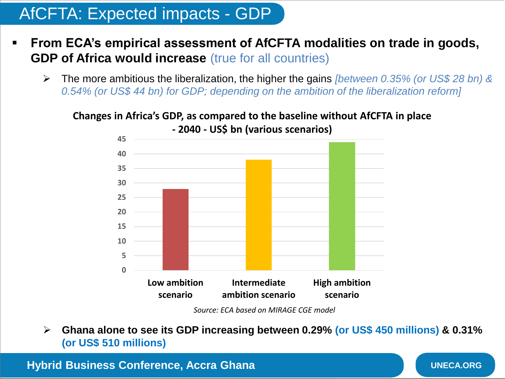## AfCFTA: Expected impacts - GDP

- **From ECA's empirical assessment of AfCFTA modalities on trade in goods, GDP of Africa would increase** (true for all countries)
	- The more ambitious the liberalization, the higher the gains *[between 0.35% (or US\$ 28 bn) & 0.54% (or US\$ 44 bn) for GDP; depending on the ambition of the liberalization reform]*

#### **Changes in Africa's GDP, as compared to the baseline without AfCFTA in place**



**- 2040 - US\$ bn (various scenarios)**

*Source: ECA based on MIRAGE CGE model*

 **Ghana alone to see its GDP increasing between 0.29% (or US\$ 450 millions) & 0.31% (or US\$ 510 millions)**

**Hybrid Business Conference, Accra Ghana**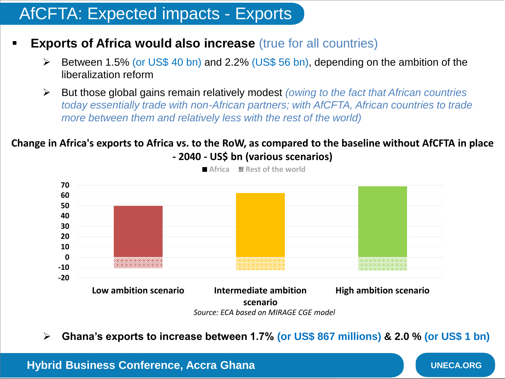## AfCFTA: Expected impacts - Exports

- **Exports of Africa would also increase** (true for all countries)
	- $\triangleright$  Between 1.5% (or US\$ 40 bn) and 2.2% (US\$ 56 bn), depending on the ambition of the liberalization reform
	- But those global gains remain relatively modest *(owing to the fact that African countries today essentially trade with non-African partners; with AfCFTA, African countries to trade more between them and relatively less with the rest of the world)*

#### **Change in Africa's exports to Africa vs. to the RoW, as compared to the baseline without AfCFTA in place - 2040 - US\$ bn (various scenarios)**



■ Africa **& Rest of the world** 

**Ghana's exports to increase between 1.7% (or US\$ 867 millions) & 2.0 % (or US\$ 1 bn)**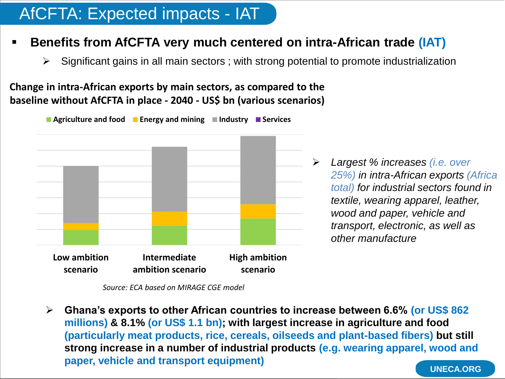## AfCFTA: Expected impacts - IAT

#### **Benefits from AfCFTA very much centered on intra-African trade (IAT)**

 $\triangleright$  Significant gains in all main sectors ; with strong potential to promote industrialization

**Change in intra-African exports by main sectors, as compared to the baseline without AfCFTA in place - 2040 - US\$ bn (various scenarios)**

■ Agriculture and food ■ Energy and mining ■ Industry ■ Services



*Source: ECA based on MIRAGE CGE model*

 **Ghana's exports to other African countries to increase between 6.6% (or US\$ 862 millions) & 8.1% (or US\$ 1.1 bn); with largest increase in agriculture and food (particularly meat products, rice, cereals, oilseeds and plant-based fibers) but still strong increase in a number of industrial products (e.g. wearing apparel, wood and paper, vehicle and transport equipment)**

 *Largest % increases (i.e. over 25%) in intra-African exports (Africa total) for industrial sectors found in textile, wearing apparel, leather, wood and paper, vehicle and transport, electronic, as well as other manufacture*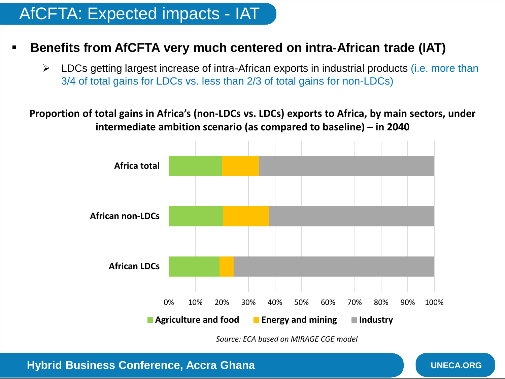## AfCFTA: Expected impacts - IAT

#### **Benefits from AfCFTA very much centered on intra-African trade (IAT)**

 $\triangleright$  LDCs getting largest increase of intra-African exports in industrial products (i.e. more than 3/4 of total gains for LDCs vs. less than 2/3 of total gains for non-LDCs)

**Proportion of total gains in Africa's (non-LDCs vs. LDCs) exports to Africa, by main sectors, under intermediate ambition scenario (as compared to baseline) – in 2040**



*Source: ECA based on MIRAGE CGE model*

**UNECA.ORG**

**Hybrid Business Conference, Accra Ghana**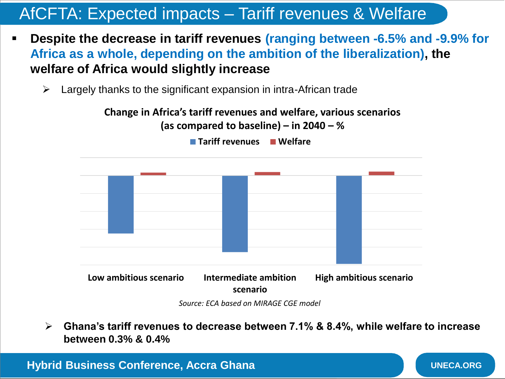## AfCFTA: Expected impacts – Tariff revenues & Welfare

- **Despite the decrease in tariff revenues (ranging between -6.5% and -9.9% for Africa as a whole, depending on the ambition of the liberalization), the welfare of Africa would slightly increase**
	- $\triangleright$  Largely thanks to the significant expansion in intra-African trade

**Change in Africa's tariff revenues and welfare, various scenarios** 



**(as compared to baseline) – in 2040 – % Tariff revenues Welfare**

*Source: ECA based on MIRAGE CGE model*

 **Ghana's tariff revenues to decrease between 7.1% & 8.4%, while welfare to increase between 0.3% & 0.4%**

**Hybrid Business Conference, Accra Ghana**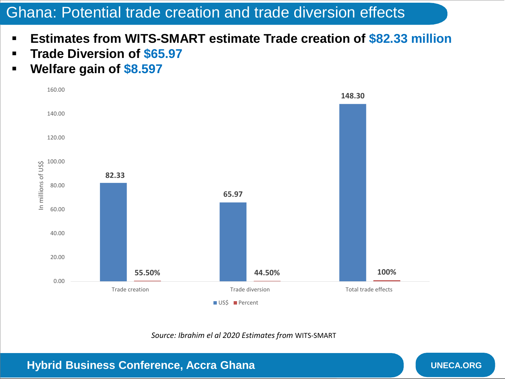## Ghana: Potential trade creation and trade diversion effects

- **Estimates from WITS-SMART estimate Trade creation of \$82.33 million**
- **Trade Diversion of \$65.97**
- **Welfare gain of \$8.597**



*Source: Ibrahim el al 2020 Estimates from* WITS-SMART

**Hybrid Business Conference, Accra Ghana**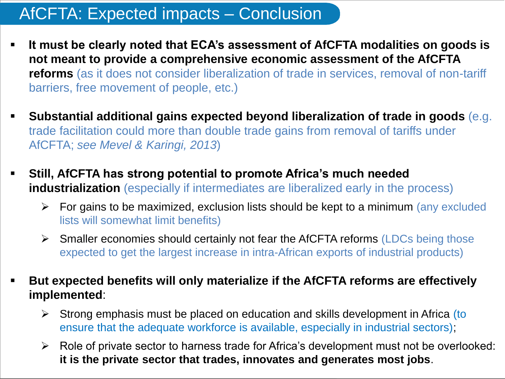## AfCFTA: Expected impacts – Conclusion

- **It must be clearly noted that ECA's assessment of AfCFTA modalities on goods is not meant to provide a comprehensive economic assessment of the AfCFTA reforms** (as it does not consider liberalization of trade in services, removal of non-tariff barriers, free movement of people, etc.)
- **Substantial additional gains expected beyond liberalization of trade in goods** (e.g. trade facilitation could more than double trade gains from removal of tariffs under AfCFTA; *see Mevel & Karingi, 2013*)
- **Still, AfCFTA has strong potential to promote Africa's much needed industrialization** (especially if intermediates are liberalized early in the process)
	- $\triangleright$  For gains to be maximized, exclusion lists should be kept to a minimum (any excluded lists will somewhat limit benefits)
	- $\triangleright$  Smaller economies should certainly not fear the AfCFTA reforms (LDCs being those expected to get the largest increase in intra-African exports of industrial products)
- **But expected benefits will only materialize if the AfCFTA reforms are effectively implemented**:
	- $\triangleright$  Strong emphasis must be placed on education and skills development in Africa (to ensure that the adequate workforce is available, especially in industrial sectors);
	- $\triangleright$  Role of private sector to harness trade for Africa's development must not be overlooked: **it is the private sector that trades, innovates and generates most jobs**.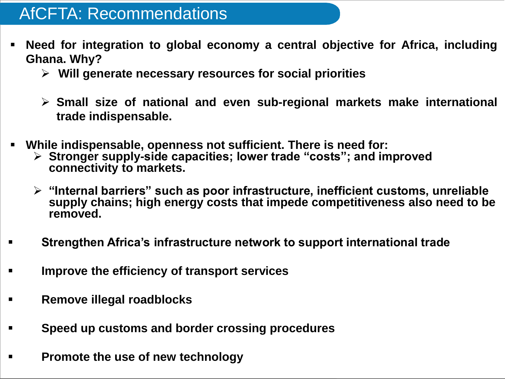## AfCFTA: Recommendations

- **Need for integration to global economy a central objective for Africa, including Ghana. Why?**
	- **Will generate necessary resources for social priorities**
	- **Small size of national and even sub-regional markets make international trade indispensable.**
- **While indispensable, openness not sufficient. There is need for:**
	- **Stronger supply-side capacities; lower trade "costs"; and improved connectivity to markets.**
	- **"Internal barriers" such as poor infrastructure, inefficient customs, unreliable supply chains; high energy costs that impede competitiveness also need to be removed.**
- **Strengthen Africa's infrastructure network to support international trade**
- **Improve the efficiency of transport services**
- **Remove illegal roadblocks**
- **Speed up customs and border crossing procedures**
- **Promote the use of new technology**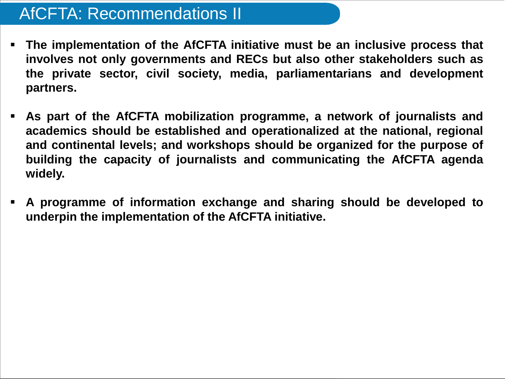## AfCFTA: Recommendations II

- **The implementation of the AfCFTA initiative must be an inclusive process that involves not only governments and RECs but also other stakeholders such as the private sector, civil society, media, parliamentarians and development partners.**
- **As part of the AfCFTA mobilization programme, a network of journalists and academics should be established and operationalized at the national, regional and continental levels; and workshops should be organized for the purpose of building the capacity of journalists and communicating the AfCFTA agenda widely.**
- **A programme of information exchange and sharing should be developed to underpin the implementation of the AfCFTA initiative.**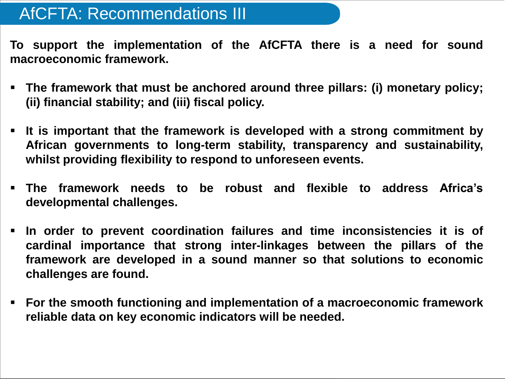## AfCFTA: Recommendations III

**To support the implementation of the AfCFTA there is a need for sound macroeconomic framework.**

- **The framework that must be anchored around three pillars: (i) monetary policy; (ii) financial stability; and (iii) fiscal policy.**
- **It is important that the framework is developed with a strong commitment by African governments to long-term stability, transparency and sustainability, whilst providing flexibility to respond to unforeseen events.**
- **The framework needs to be robust and flexible to address Africa's developmental challenges.**
- **In order to prevent coordination failures and time inconsistencies it is of cardinal importance that strong inter-linkages between the pillars of the framework are developed in a sound manner so that solutions to economic challenges are found.**
- **For the smooth functioning and implementation of a macroeconomic framework reliable data on key economic indicators will be needed.**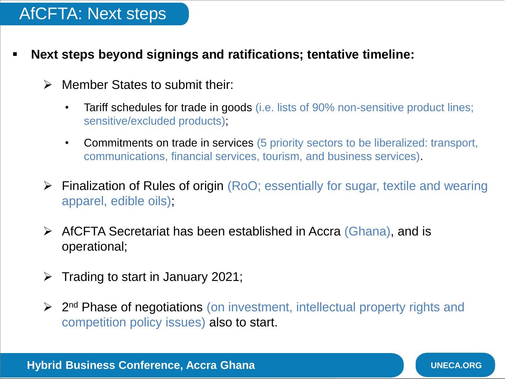## AfCFTA: Next steps

- **Next steps beyond signings and ratifications; tentative timeline:**
	- > Member States to submit their
		- Tariff schedules for trade in goods (i.e. lists of 90% non-sensitive product lines; sensitive/excluded products);
		- Commitments on trade in services (5 priority sectors to be liberalized: transport, communications, financial services, tourism, and business services).
	- Finalization of Rules of origin (RoO; essentially for sugar, textile and wearing apparel, edible oils);
	- $\triangleright$  AfCFTA Secretariat has been established in Accra (Ghana), and is operational;
	- $\triangleright$  Trading to start in January 2021;
	- **► 2<sup>nd</sup> Phase of negotiations (on investment, intellectual property rights and** competition policy issues) also to start.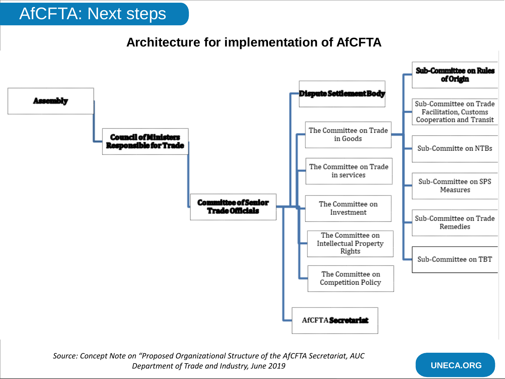## AfCFTA: Next steps

#### **Architecture for implementation of AfCFTA**



*Source: Concept Note on "Proposed Organizational Structure of the AfCFTA Secretariat, AUC Department of Trade and Industry, June 2019*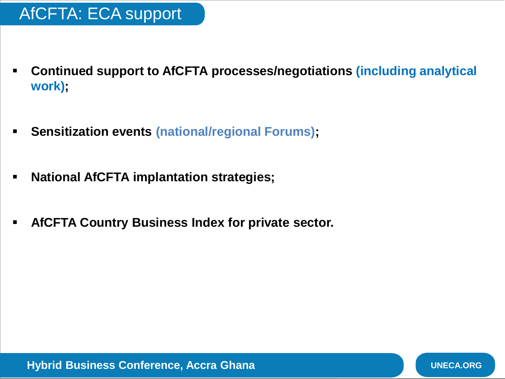- **Continued support to AfCFTA processes/negotiations (including analytical work);**
- **Sensitization events (national/regional Forums);**
- **National AfCFTA implantation strategies;**
- **AfCFTA Country Business Index for private sector.**

**Hybrid Business Conference, Accra Ghana**